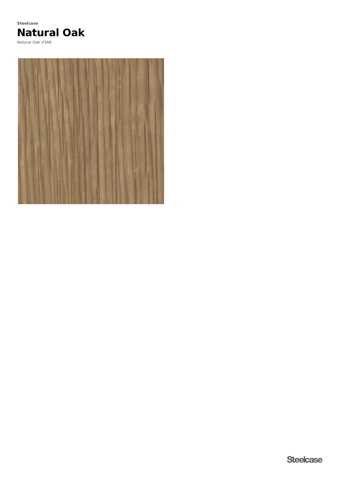# **Natural Oak Steelcase**

Natural Oak V3AK

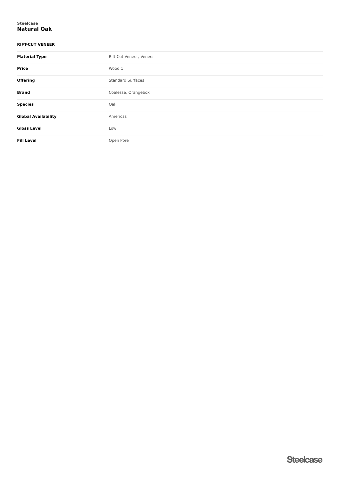#### **Natural Oak Steelcase**

### **RIFT-CUT VENEER**

| <b>Material Type</b>       | Rift-Cut Veneer, Veneer  |
|----------------------------|--------------------------|
| <b>Price</b>               | Wood 1                   |
| <b>Offering</b>            | <b>Standard Surfaces</b> |
| <b>Brand</b>               | Coalesse, Orangebox      |
| <b>Species</b>             | Oak                      |
| <b>Global Availability</b> | Americas                 |
| <b>Gloss Level</b>         | Low                      |
| <b>Fill Level</b>          | Open Pore                |